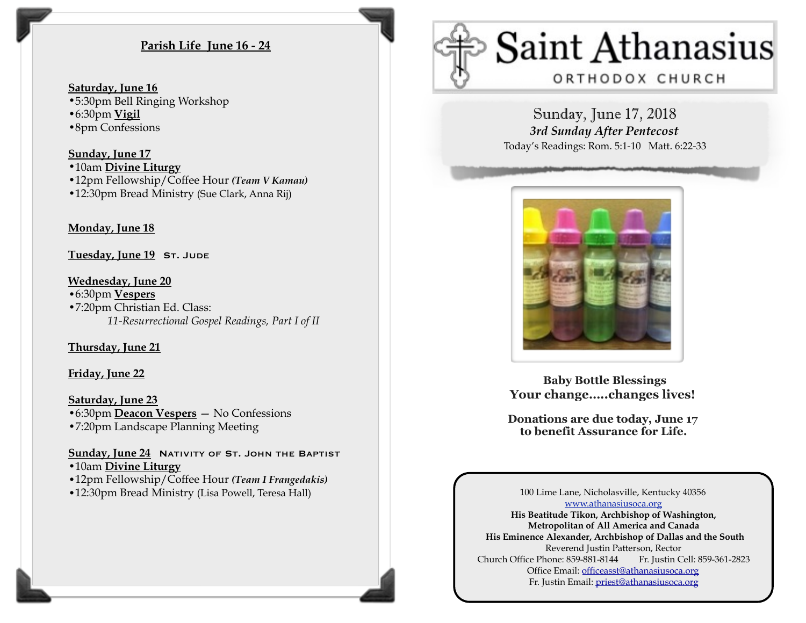# **Parish Life June 16 - 24**

#### **Saturday, June 16**

- •5:30pm Bell Ringing Workshop
- •6:30pm **Vigil**
- •8pm Confessions

#### **Sunday, June 17**

•10am **Divine Liturgy** 

- •12pm Fellowship/Coffee Hour *(Team V Kamau)*
- •12:30pm Bread Ministry (Sue Clark, Anna Rij)

## **Monday, June 18**

**Tuesday, June 19 ST. JUDE** 

## **Wednesday, June 20**

•6:30pm **Vespers** •7:20pm Christian Ed. Class: *11-Resurrectional Gospel Readings, Part I of II* 

### **Thursday, June 21**

### **Friday, June 22**

**Saturday, June 23** •6:30pm **Deacon Vespers** — No Confessions •7:20pm Landscape Planning Meeting

Sunday, June 24 NATIVITY OF ST. JOHN THE BAPTIST •10am **Divine Liturgy**

- •12pm Fellowship/Coffee Hour *(Team I Frangedakis)*
- •12:30pm Bread Ministry (Lisa Powell, Teresa Hall)



Sunday, June 17, 2018 *3rd Sunday After Pentecost*  Today's Readings: Rom. 5:1-10 Matt. 6:22-33



 **Baby Bottle Blessings Your change…..changes lives!** 

**Donations are due today, June 17 to benefit Assurance for Life.**

100 Lime Lane, Nicholasville, Kentucky 40356 [www.athanasiusoca.org](http://www.athanasiusoca.org) **His Beatitude Tikon, Archbishop of Washington, Metropolitan of All America and Canada His Eminence Alexander, Archbishop of Dallas and the South**  Reverend Justin Patterson, Rector Church Office Phone: 859-881-8144 Fr. Justin Cell: 859-361-2823 Office Email: [officeasst@athanasiusoca.org](mailto:officeasst@athanasiusoca.org) Fr. Justin Email: [priest@athanasiusoca.org](mailto:priest@athanasiusoca.org)